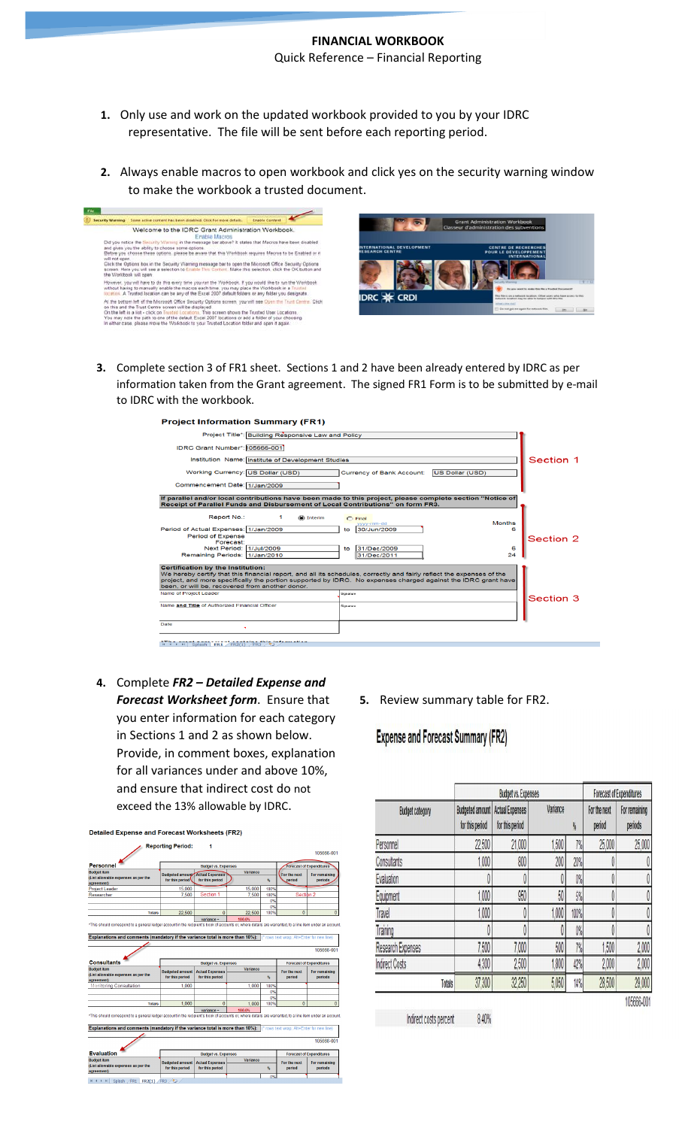## **FINANCIAL WORKBOOK** Quick Reference – Financial Reporting

- **1.** Only use and work on the updated workbook provided to you by your IDRC representative. The file will be sent before each reporting period.
- **2.** Always enable macros to open workbook and click yes on the security warning window to make the workbook a trusted document.



**3.** Complete section 3 of FR1 sheet. Sections 1 and 2 have been already entered by IDRC as per information taken from the Grant agreement. The signed FR1 Form is to be submitted by e-mail to IDRC with the workbook.



**4.** Complete *FR2 – Detailed Expense and Forecast Worksheet form*. Ensure that you enter information for each category in Sections 1 and 2 as shown below. Provide, in comment boxes, explanation for all variances under and above 10%, and ensure that indirect cost do not exceed the 13% allowable by IDRC.

| <b>Personnel</b>                                                                                                                                                                                                                                                                                                                                                                                                                                         | <b>Budget vs. Expenses</b>                                |                                           |                                                                               |      | <b>Forecast of Expenditures</b>         |                                               |
|----------------------------------------------------------------------------------------------------------------------------------------------------------------------------------------------------------------------------------------------------------------------------------------------------------------------------------------------------------------------------------------------------------------------------------------------------------|-----------------------------------------------------------|-------------------------------------------|-------------------------------------------------------------------------------|------|-----------------------------------------|-----------------------------------------------|
| <b>Budget item</b><br>(List allowable expenses as per the                                                                                                                                                                                                                                                                                                                                                                                                | <b>Budgeted amount Actual Expenses</b><br>for this period | for this period                           | Variance                                                                      | %    | For the next<br>period                  | For remaining<br>periods                      |
| agreement)<br><b>Project Leader</b>                                                                                                                                                                                                                                                                                                                                                                                                                      | 15,000                                                    |                                           | 15,000                                                                        | 100% |                                         |                                               |
| Researcher                                                                                                                                                                                                                                                                                                                                                                                                                                               | 7.500                                                     | Section 1                                 | 7.500                                                                         | 100% | Section 2                               |                                               |
|                                                                                                                                                                                                                                                                                                                                                                                                                                                          |                                                           |                                           |                                                                               | 0%   |                                         |                                               |
|                                                                                                                                                                                                                                                                                                                                                                                                                                                          |                                                           |                                           |                                                                               | 0%   |                                         |                                               |
| <b>Totals</b>                                                                                                                                                                                                                                                                                                                                                                                                                                            | 22.500                                                    | $\overline{0}$                            | 22.500                                                                        | 100% | $\mathbf{0}$                            |                                               |
|                                                                                                                                                                                                                                                                                                                                                                                                                                                          |                                                           | $variance =$                              | 100.0%                                                                        |      |                                         |                                               |
|                                                                                                                                                                                                                                                                                                                                                                                                                                                          |                                                           |                                           | Explanations and comments (mandatory if the variance total is more than 10%): |      | rows text wrap: Alt+Enter for new line) |                                               |
|                                                                                                                                                                                                                                                                                                                                                                                                                                                          |                                                           |                                           |                                                                               |      |                                         |                                               |
|                                                                                                                                                                                                                                                                                                                                                                                                                                                          |                                                           | <b>Budget vs. Expenses</b>                |                                                                               |      |                                         | <b>Forecast of Expenditures</b>               |
|                                                                                                                                                                                                                                                                                                                                                                                                                                                          | <b>Budgeted amount</b><br>for this period                 | <b>Actual Expenses</b><br>for this period | Variance                                                                      | %    | For the next<br>period                  | periods                                       |
|                                                                                                                                                                                                                                                                                                                                                                                                                                                          | 1 000                                                     |                                           | 1.000                                                                         | 100% |                                         |                                               |
|                                                                                                                                                                                                                                                                                                                                                                                                                                                          |                                                           |                                           |                                                                               | 0%   |                                         |                                               |
|                                                                                                                                                                                                                                                                                                                                                                                                                                                          |                                                           |                                           |                                                                               | 0%   |                                         |                                               |
| <b>Totals</b>                                                                                                                                                                                                                                                                                                                                                                                                                                            | 1.000                                                     | $\overline{0}$                            | 1.000                                                                         | 100% | $\overline{\mathfrak{o}}$               | 105666-001<br>For remaining<br>$\overline{0}$ |
|                                                                                                                                                                                                                                                                                                                                                                                                                                                          |                                                           | $variance =$                              | 100.0%                                                                        |      |                                         |                                               |
|                                                                                                                                                                                                                                                                                                                                                                                                                                                          |                                                           |                                           |                                                                               |      |                                         |                                               |
|                                                                                                                                                                                                                                                                                                                                                                                                                                                          |                                                           |                                           |                                                                               |      | rows text wrap; Alt+Enter for new line) |                                               |
|                                                                                                                                                                                                                                                                                                                                                                                                                                                          |                                                           |                                           |                                                                               |      |                                         | 105666-001                                    |
|                                                                                                                                                                                                                                                                                                                                                                                                                                                          |                                                           | <b>Budget vs. Expenses</b>                |                                                                               |      |                                         | <b>Forecast of Expenditures</b>               |
|                                                                                                                                                                                                                                                                                                                                                                                                                                                          |                                                           |                                           | Variance                                                                      |      |                                         |                                               |
| <b>Consultants</b><br><b>Budget item</b><br>(List allowable expenses as per the<br>agreement)<br>Monitoring Consultation<br>*This should correspond to a general ledger account in the recipient's book of accounts or, where details are warranted, to a line item under an account.<br>Explanations and comments (mandatory if the variance total is more than 10%):<br><b>Evaluation</b><br><b>Budget item</b><br>(List allowable expenses as per the | <b>Budgeted amount</b><br>for this period                 | <b>Actual Expenses</b><br>for this period |                                                                               | %    | For the next<br>period                  | For remaining<br>periods                      |

**5.** Review summary table for FR2.

## **Expense and Forecast Summary (FR2)**

|                          | <b>Budget vs. Expenses</b>                |                                           |               |      | <b>Forecast of Expenditures</b> |                          |
|--------------------------|-------------------------------------------|-------------------------------------------|---------------|------|---------------------------------|--------------------------|
| <b>Budget category</b>   | <b>Budgeted amount</b><br>for this period | <b>Actual Expenses</b><br>for this period | Variance<br>h |      | For the next<br>period          | For remaining<br>periods |
| Personnel                | 22,500                                    | 21,000                                    | .500          | 7%   | 25,000                          | 25,000                   |
| Consultants              | .000                                      | 800                                       | 200           | 20%  | 0                               |                          |
| Evaluation               |                                           |                                           |               | 0%   | 0                               |                          |
| Equipment                | .000                                      | 950                                       | 50            | 5%   | 0                               |                          |
| Travel                   | 1.000                                     | O                                         | 1,000         | 100% | 0                               |                          |
| Training                 |                                           |                                           |               | 0%   | Ô                               |                          |
| <b>Research Expenses</b> | 7,500                                     | 7,000                                     | 500           | 7%   | 1,500                           | 2,000                    |
| <b>Indirect Costs</b>    | 4,300                                     | 2,500                                     | 1,800         | 42%  | 2,000                           | 2,000                    |
| Totals                   | 37,300                                    | 32,250                                    | 5,050         | 14%  | 28,500                          | 29,000                   |
|                          |                                           |                                           |               |      |                                 | 105666-001               |

Indirect costs percent 8.40%